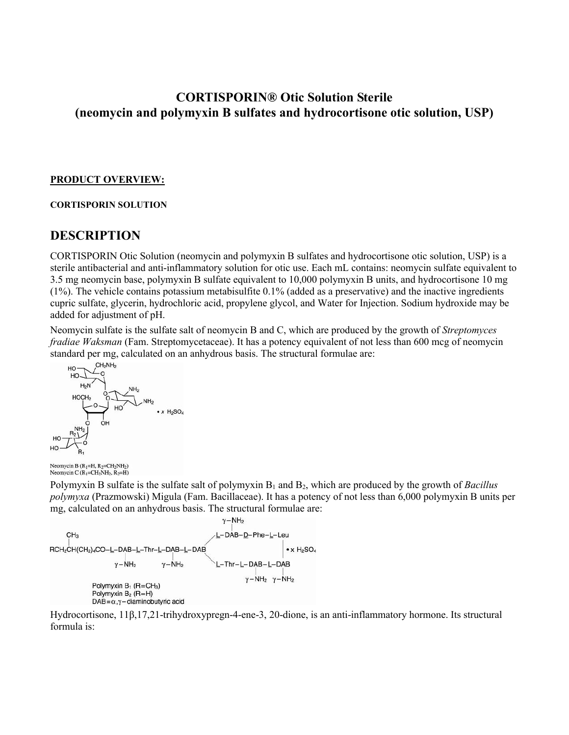### **CORTISPORIN® Otic Solution Sterile (neomycin and polymyxin B sulfates and hydrocortisone otic solution, USP)**

#### **PRODUCT OVERVIEW:**

#### **CORTISPORIN SOLUTION**

### **DESCRIPTION**

CORTISPORIN Otic Solution (neomycin and polymyxin B sulfates and hydrocortisone otic solution, USP) is a sterile antibacterial and anti-inflammatory solution for otic use. Each mL contains: neomycin sulfate equivalent to 3.5 mg neomycin base, polymyxin B sulfate equivalent to 10,000 polymyxin B units, and hydrocortisone 10 mg (1%). The vehicle contains potassium metabisulfite 0.1% (added as a preservative) and the inactive ingredients cupric sulfate, glycerin, hydrochloric acid, propylene glycol, and Water for Injection. Sodium hydroxide may be added for adjustment of pH.

Neomycin sulfate is the sulfate salt of neomycin B and C, which are produced by the growth of *Streptomyces fradiae Waksman* (Fam. Streptomycetaceae). It has a potency equivalent of not less than 600 mcg of neomycin standard per mg, calculated on an anhydrous basis. The structural formulae are:

$$
\begin{array}{c}\n\text{H}_0 \\
\text{H}_2 \\
\text{H}_2 \\
\text{H}_2 \\
\text{H}_2 \\
\text{H}_2 \\
\text{H}_2 \\
\text{H}_2 \\
\text{H}_2 \\
\text{H}_2 \\
\text{H}_2 \\
\text{H}_2 \\
\text{H}_2 \\
\text{H}_2 \\
\text{H}_2 \\
\text{H}_2 \\
\text{H}_2 \\
\text{H}_2 \\
\text{H}_2 \\
\text{H}_2 \\
\text{H}_2 \\
\text{H}_2 \\
\text{H}_2 \\
\text{H}_2 \\
\text{H}_2 \\
\text{H}_2 \\
\text{H}_2 \\
\text{H}_2 \\
\text{H}_2 \\
\text{H}_2 \\
\text{H}_2 \\
\text{H}_2 \\
\text{H}_2 \\
\text{H}_2 \\
\text{H}_2 \\
\text{H}_2 \\
\text{H}_2 \\
\text{H}_2 \\
\text{H}_2 \\
\text{H}_2 \\
\text{H}_2 \\
\text{H}_2 \\
\text{H}_2 \\
\text{H}_2 \\
\text{H}_2 \\
\text{H}_2 \\
\text{H}_2 \\
\text{H}_2 \\
\text{H}_2 \\
\text{H}_2 \\
\text{H}_2 \\
\text{H}_2 \\
\text{H}_2 \\
\text{H}_2 \\
\text{H}_2 \\
\text{H}_2 \\
\text{H}_2 \\
\text{H}_2 \\
\text{H}_2 \\
\text{H}_2 \\
\text{H}_2 \\
\text{H}_2 \\
\text{H}_2 \\
\text{H}_2 \\
\text{H}_2 \\
\text{H}_2 \\
\text{H}_2 \\
\text{H}_2 \\
\text{H}_2 \\
\text{H}_2 \\
\text{H}_2 \\
\text{H}_2 \\
\text{H}_2 \\
\text{H}_2 \\
\text{H}_2 \\
\text{H}_2 \\
\text{H}_2 \\
\text{H}_2 \\
\text{H}_2 \\
\text{H}_2 \\
\text{H}_2 \\
\text{H}_2 \\
\text{H}_2 \\
\text{H}_2 \\
\text{H}_2 \\
\text{H}_2 \\
\text{H}_2 \\
\text{H}_2 \\
\text{H}_2 \\
\text{H}_2 \\
\text{H}_2 \\
\text{H}_2 \\
\text{H}_2 \\
\text{H}_2 \\
\text{H}_2 \\
\text{H}_2 \\
\text{H}_2 \\
\text{H}_2 \\
\text{H}_2 \\
\text{H}_2 \\
\text{H}_2 \\
\text{H}_2 \\
\text{H}_2 \\
\text{H}_2 \\
\text{H}_2 \\
\text{H}_2 \\
\text{H}_2 \\
\text{
$$

Neomycin B  $(R_1=H, R_2=CH_2NH_2)$ Neomycin C ( $R_1$ =CH<sub>2</sub>NH<sub>2</sub>,  $R_2$ =H)

Ė

Polymyxin B sulfate is the sulfate salt of polymyxin B<sup>1</sup> and B2, which are produced by the growth of *Bacillus polymyxa* (Prazmowski) Migula (Fam. Bacillaceae). It has a potency of not less than 6,000 polymyxin B units per mg, calculated on an anhydrous basis. The structural formulae are:

| CH <sub>3</sub>                                                         | $\gamma$ -NH <sub>2</sub>                     |                             |                             |                             |                             |                             |                             |                             |                             |                             |                             |                             |                             |                             |
|-------------------------------------------------------------------------|-----------------------------------------------|-----------------------------|-----------------------------|-----------------------------|-----------------------------|-----------------------------|-----------------------------|-----------------------------|-----------------------------|-----------------------------|-----------------------------|-----------------------------|-----------------------------|-----------------------------|
| RCH <sub>2</sub> CH(CH <sub>2</sub> ) <sub>4</sub> CO–L–DAB–L–Thr–L–DAB | – $\gamma$ -NH <sub>2</sub>                   | – $\gamma$ -NH <sub>2</sub> | – $\gamma$ -NH <sub>2</sub> | – $\gamma$ -NH <sub>2</sub> | – $\gamma$ -NH <sub>2</sub> | – $\gamma$ -NH <sub>2</sub> | – $\gamma$ -NH <sub>2</sub> | – $\gamma$ -NH <sub>2</sub> | – $\gamma$ -NH <sub>2</sub> | – $\gamma$ -NH <sub>2</sub> | – $\gamma$ -NH <sub>2</sub> | – $\gamma$ -NH <sub>2</sub> | – $\gamma$ -NH <sub>2</sub> | – $\gamma$ -NH <sub>2</sub> |
| Polymyxin B <sub>2</sub> (R=H)                                          | DAB= $\alpha$ , $\gamma$ -diaminobutyric acid |                             |                             |                             |                             |                             |                             |                             |                             |                             |                             |                             |                             |                             |

Hydrocortisone, 11β,17,21-trihydroxypregn-4-ene-3, 20-dione, is an anti-inflammatory hormone. Its structural formula is: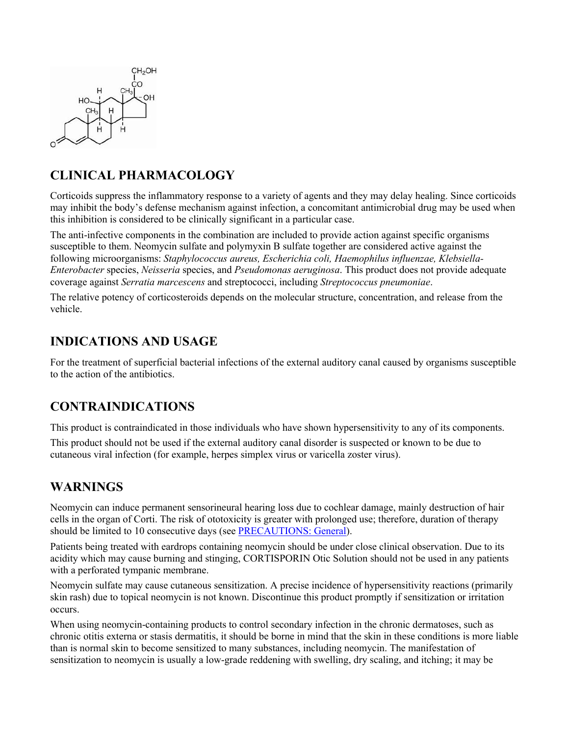

# **CLINICAL PHARMACOLOGY**

Corticoids suppress the inflammatory response to a variety of agents and they may delay healing. Since corticoids may inhibit the body's defense mechanism against infection, a concomitant antimicrobial drug may be used when this inhibition is considered to be clinically significant in a particular case.

The anti-infective components in the combination are included to provide action against specific organisms susceptible to them. Neomycin sulfate and polymyxin B sulfate together are considered active against the following microorganisms: *Staphylococcus aureus, Escherichia coli, Haemophilus influenzae, Klebsiella-Enterobacter* species, *Neisseria* species, and *Pseudomonas aeruginosa*. This product does not provide adequate coverage against *Serratia marcescens* and streptococci, including *Streptococcus pneumoniae*.

The relative potency of corticosteroids depends on the molecular structure, concentration, and release from the vehicle.

## **INDICATIONS AND USAGE**

For the treatment of superficial bacterial infections of the external auditory canal caused by organisms susceptible to the action of the antibiotics.

# **CONTRAINDICATIONS**

This product is contraindicated in those individuals who have shown hypersensitivity to any of its components.

This product should not be used if the external auditory canal disorder is suspected or known to be due to cutaneous viral infection (for example, herpes simplex virus or varicella zoster virus).

# <span id="page-1-0"></span>**WARNINGS**

Neomycin can induce permanent sensorineural hearing loss due to cochlear damage, mainly destruction of hair cells in the organ of Corti. The risk of ototoxicity is greater with prolonged use; therefore, duration of therapy should be limited to 10 consecutive days (see [PRECAUTIONS: General\)](#page-2-0).

Patients being treated with eardrops containing neomycin should be under close clinical observation. Due to its acidity which may cause burning and stinging, CORTISPORIN Otic Solution should not be used in any patients with a perforated tympanic membrane.

Neomycin sulfate may cause cutaneous sensitization. A precise incidence of hypersensitivity reactions (primarily skin rash) due to topical neomycin is not known. Discontinue this product promptly if sensitization or irritation occurs.

When using neomycin-containing products to control secondary infection in the chronic dermatoses, such as chronic otitis externa or stasis dermatitis, it should be borne in mind that the skin in these conditions is more liable than is normal skin to become sensitized to many substances, including neomycin. The manifestation of sensitization to neomycin is usually a low-grade reddening with swelling, dry scaling, and itching; it may be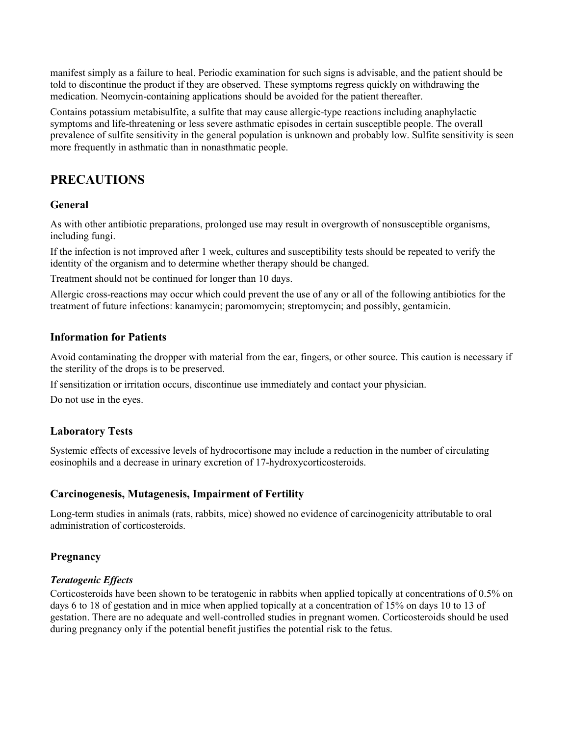manifest simply as a failure to heal. Periodic examination for such signs is advisable, and the patient should be told to discontinue the product if they are observed. These symptoms regress quickly on withdrawing the medication. Neomycin-containing applications should be avoided for the patient thereafter.

Contains potassium metabisulfite, a sulfite that may cause allergic-type reactions including anaphylactic symptoms and life-threatening or less severe asthmatic episodes in certain susceptible people. The overall prevalence of sulfite sensitivity in the general population is unknown and probably low. Sulfite sensitivity is seen more frequently in asthmatic than in nonasthmatic people.

# **PRECAUTIONS**

### <span id="page-2-0"></span>**General**

As with other antibiotic preparations, prolonged use may result in overgrowth of nonsusceptible organisms, including fungi.

If the infection is not improved after 1 week, cultures and susceptibility tests should be repeated to verify the identity of the organism and to determine whether therapy should be changed.

Treatment should not be continued for longer than 10 days.

Allergic cross-reactions may occur which could prevent the use of any or all of the following antibiotics for the treatment of future infections: kanamycin; paromomycin; streptomycin; and possibly, gentamicin.

#### **Information for Patients**

Avoid contaminating the dropper with material from the ear, fingers, or other source. This caution is necessary if the sterility of the drops is to be preserved.

If sensitization or irritation occurs, discontinue use immediately and contact your physician.

Do not use in the eyes.

#### **Laboratory Tests**

Systemic effects of excessive levels of hydrocortisone may include a reduction in the number of circulating eosinophils and a decrease in urinary excretion of 17-hydroxycorticosteroids.

#### **Carcinogenesis, Mutagenesis, Impairment of Fertility**

Long-term studies in animals (rats, rabbits, mice) showed no evidence of carcinogenicity attributable to oral administration of corticosteroids.

#### **Pregnancy**

#### *Teratogenic Effects*

Corticosteroids have been shown to be teratogenic in rabbits when applied topically at concentrations of 0.5% on days 6 to 18 of gestation and in mice when applied topically at a concentration of 15% on days 10 to 13 of gestation. There are no adequate and well-controlled studies in pregnant women. Corticosteroids should be used during pregnancy only if the potential benefit justifies the potential risk to the fetus.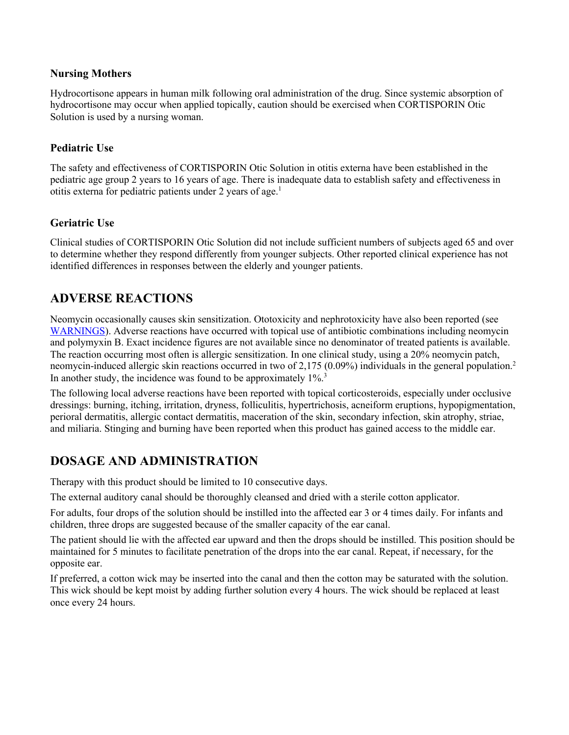#### **Nursing Mothers**

Hydrocortisone appears in human milk following oral administration of the drug. Since systemic absorption of hydrocortisone may occur when applied topically, caution should be exercised when CORTISPORIN Otic Solution is used by a nursing woman.

#### **Pediatric Use**

The safety and effectiveness of CORTISPORIN Otic Solution in otitis externa have been established in the pediatric age group 2 years to 16 years of age. There is inadequate data to establish safety and effectiveness in otitis externa for pediatric patients under 2 years of age.<sup>1</sup>

#### **Geriatric Use**

Clinical studies of CORTISPORIN Otic Solution did not include sufficient numbers of subjects aged 65 and over to determine whether they respond differently from younger subjects. Other reported clinical experience has not identified differences in responses between the elderly and younger patients.

### **ADVERSE REACTIONS**

Neomycin occasionally causes skin sensitization. Ototoxicity and nephrotoxicity have also been reported (see [WARNINGS](#page-1-0)). Adverse reactions have occurred with topical use of antibiotic combinations including neomycin and polymyxin B. Exact incidence figures are not available since no denominator of treated patients is available. The reaction occurring most often is allergic sensitization. In one clinical study, using a 20% neomycin patch, neomycin-induced allergic skin reactions occurred in two of 2,175 (0.09%) individuals in the general population.<sup>2</sup> In another study, the incidence was found to be approximately  $1\%$ .<sup>3</sup>

The following local adverse reactions have been reported with topical corticosteroids, especially under occlusive dressings: burning, itching, irritation, dryness, folliculitis, hypertrichosis, acneiform eruptions, hypopigmentation, perioral dermatitis, allergic contact dermatitis, maceration of the skin, secondary infection, skin atrophy, striae, and miliaria. Stinging and burning have been reported when this product has gained access to the middle ear.

### **DOSAGE AND ADMINISTRATION**

Therapy with this product should be limited to 10 consecutive days.

The external auditory canal should be thoroughly cleansed and dried with a sterile cotton applicator.

For adults, four drops of the solution should be instilled into the affected ear 3 or 4 times daily. For infants and children, three drops are suggested because of the smaller capacity of the ear canal.

The patient should lie with the affected ear upward and then the drops should be instilled. This position should be maintained for 5 minutes to facilitate penetration of the drops into the ear canal. Repeat, if necessary, for the opposite ear.

If preferred, a cotton wick may be inserted into the canal and then the cotton may be saturated with the solution. This wick should be kept moist by adding further solution every 4 hours. The wick should be replaced at least once every 24 hours.